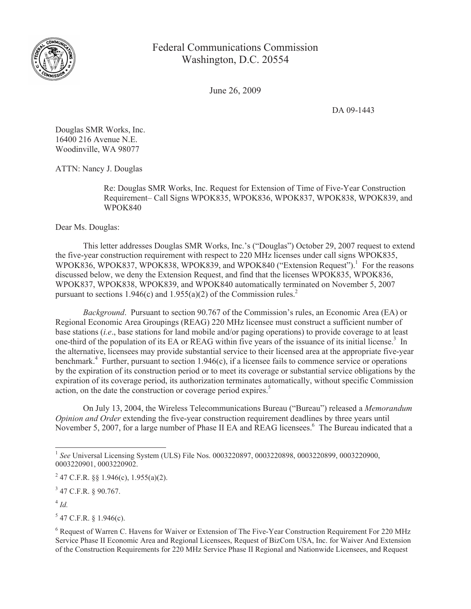

Federal Communications Commission Washington, D.C. 20554

June 26, 2009

DA 09-1443

Douglas SMR Works, Inc. 16400 216 Avenue N.E. Woodinville, WA 98077

ATTN: Nancy J. Douglas

Re: Douglas SMR Works, Inc. Request for Extension of Time of Five-Year Construction Requirement– Call Signs WPOK835, WPOK836, WPOK837, WPOK838, WPOK839, and WPOK840

Dear Ms. Douglas:

This letter addresses Douglas SMR Works, Inc.'s ("Douglas") October 29, 2007 request to extend the five-year construction requirement with respect to 220 MHz licenses under call signs WPOK835, WPOK836, WPOK837, WPOK838, WPOK839, and WPOK840 ("Extension Request").<sup>1</sup> For the reasons discussed below, we deny the Extension Request, and find that the licenses WPOK835, WPOK836, WPOK837, WPOK838, WPOK839, and WPOK840 automatically terminated on November 5, 2007 pursuant to sections 1.946(c) and 1.955(a)(2) of the Commission rules.<sup>2</sup>

*Background*. Pursuant to section 90.767 of the Commission's rules, an Economic Area (EA) or Regional Economic Area Groupings (REAG) 220 MHz licensee must construct a sufficient number of base stations (*i.e*., base stations for land mobile and/or paging operations) to provide coverage to at least one-third of the population of its EA or REAG within five years of the issuance of its initial license.<sup>3</sup> In the alternative, licensees may provide substantial service to their licensed area at the appropriate five-year benchmark.<sup>4</sup> Further, pursuant to section 1.946(c), if a licensee fails to commence service or operations by the expiration of its construction period or to meet its coverage or substantial service obligations by the expiration of its coverage period, its authorization terminates automatically, without specific Commission action, on the date the construction or coverage period expires.<sup>5</sup>

On July 13, 2004, the Wireless Telecommunications Bureau ("Bureau") released a *Memorandum Opinion and Order* extending the five-year construction requirement deadlines by three years until November 5, 2007, for a large number of Phase II EA and REAG licensees.<sup>6</sup> The Bureau indicated that a

 $3$  47 C.F.R. § 90.767.

4 *Id.*

 $5$  47 C.F.R. § 1.946(c).

<sup>&</sup>lt;sup>1</sup> See Universal Licensing System (ULS) File Nos. 0003220897, 0003220898, 0003220899, 0003220900, 0003220901, 0003220902.

<sup>&</sup>lt;sup>2</sup> 47 C.F.R. §§ 1.946(c), 1.955(a)(2).

<sup>&</sup>lt;sup>6</sup> Request of Warren C. Havens for Waiver or Extension of The Five-Year Construction Requirement For 220 MHz Service Phase II Economic Area and Regional Licensees, Request of BizCom USA, Inc. for Waiver And Extension of the Construction Requirements for 220 MHz Service Phase II Regional and Nationwide Licensees, and Request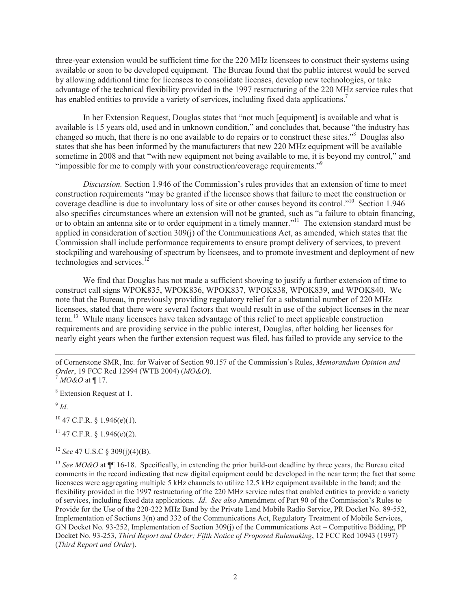three-year extension would be sufficient time for the 220 MHz licensees to construct their systems using available or soon to be developed equipment. The Bureau found that the public interest would be served by allowing additional time for licensees to consolidate licenses, develop new technologies, or take advantage of the technical flexibility provided in the 1997 restructuring of the 220 MHz service rules that has enabled entities to provide a variety of services, including fixed data applications.<sup>7</sup>

In her Extension Request, Douglas states that "not much [equipment] is available and what is available is 15 years old, used and in unknown condition," and concludes that, because "the industry has changed so much, that there is no one available to do repairs or to construct these sites."<sup>8</sup> Douglas also states that she has been informed by the manufacturers that new 220 MHz equipment will be available sometime in 2008 and that "with new equipment not being available to me, it is beyond my control," and "impossible for me to comply with your construction/coverage requirements."<sup>9</sup>

*Discussion.* Section 1.946 of the Commission's rules provides that an extension of time to meet construction requirements "may be granted if the licensee shows that failure to meet the construction or coverage deadline is due to involuntary loss of site or other causes beyond its control."<sup>10</sup> Section 1.946 also specifies circumstances where an extension will not be granted, such as "a failure to obtain financing, or to obtain an antenna site or to order equipment in a timely manner."<sup>11</sup> The extension standard must be applied in consideration of section 309(j) of the Communications Act, as amended, which states that the Commission shall include performance requirements to ensure prompt delivery of services, to prevent stockpiling and warehousing of spectrum by licensees, and to promote investment and deployment of new technologies and services.<sup>12</sup>

We find that Douglas has not made a sufficient showing to justify a further extension of time to construct call signs WPOK835, WPOK836, WPOK837, WPOK838, WPOK839, and WPOK840. We note that the Bureau, in previously providing regulatory relief for a substantial number of 220 MHz licensees, stated that there were several factors that would result in use of the subject licenses in the near term.<sup>13</sup> While many licensees have taken advantage of this relief to meet applicable construction requirements and are providing service in the public interest, Douglas, after holding her licenses for nearly eight years when the further extension request was filed, has failed to provide any service to the

<sup>8</sup> Extension Request at 1.

9 *Id*.

 $10$  47 C.F.R. § 1.946(e)(1).

 $11$  47 C.F.R. § 1.946(e)(2).

<sup>12</sup> *See* 47 U.S.C § 309(j)(4)(B).

<sup>13</sup> *See MO&O* at  $\P$  16-18. Specifically, in extending the prior build-out deadline by three years, the Bureau cited comments in the record indicating that new digital equipment could be developed in the near term; the fact that some licensees were aggregating multiple 5 kHz channels to utilize 12.5 kHz equipment available in the band; and the flexibility provided in the 1997 restructuring of the 220 MHz service rules that enabled entities to provide a variety of services, including fixed data applications. *Id*. *See also* Amendment of Part 90 of the Commission's Rules to Provide for the Use of the 220-222 MHz Band by the Private Land Mobile Radio Service, PR Docket No. 89-552, Implementation of Sections 3(n) and 332 of the Communications Act, Regulatory Treatment of Mobile Services, GN Docket No. 93-252, Implementation of Section 309(j) of the Communications Act – Competitive Bidding, PP Docket No. 93-253, *Third Report and Order; Fifth Notice of Proposed Rulemaking*, 12 FCC Rcd 10943 (1997) (*Third Report and Order*).

of Cornerstone SMR, Inc. for Waiver of Section 90.157 of the Commission's Rules, *Memorandum Opinion and Order*, 19 FCC Rcd 12994 (WTB 2004) (*MO&O*).

 $<sup>7</sup> MO&O$  at ¶ 17.</sup>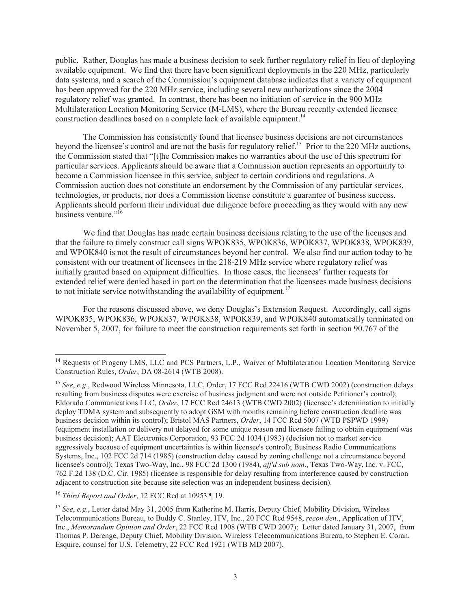public. Rather, Douglas has made a business decision to seek further regulatory relief in lieu of deploying available equipment. We find that there have been significant deployments in the 220 MHz, particularly data systems, and a search of the Commission's equipment database indicates that a variety of equipment has been approved for the 220 MHz service, including several new authorizations since the 2004 regulatory relief was granted. In contrast, there has been no initiation of service in the 900 MHz Multilateration Location Monitoring Service (M-LMS), where the Bureau recently extended licensee construction deadlines based on a complete lack of available equipment.<sup>14</sup>

The Commission has consistently found that licensee business decisions are not circumstances beyond the licensee's control and are not the basis for regulatory relief.<sup>15</sup> Prior to the 220 MHz auctions, the Commission stated that "[t]he Commission makes no warranties about the use of this spectrum for particular services. Applicants should be aware that a Commission auction represents an opportunity to become a Commission licensee in this service, subject to certain conditions and regulations. A Commission auction does not constitute an endorsement by the Commission of any particular services, technologies, or products, nor does a Commission license constitute a guarantee of business success. Applicants should perform their individual due diligence before proceeding as they would with any new business venture."<sup>16</sup>

We find that Douglas has made certain business decisions relating to the use of the licenses and that the failure to timely construct call signs WPOK835, WPOK836, WPOK837, WPOK838, WPOK839, and WPOK840 is not the result of circumstances beyond her control. We also find our action today to be consistent with our treatment of licensees in the 218-219 MHz service where regulatory relief was initially granted based on equipment difficulties. In those cases, the licensees' further requests for extended relief were denied based in part on the determination that the licensees made business decisions to not initiate service notwithstanding the availability of equipment.<sup>17</sup>

For the reasons discussed above, we deny Douglas's Extension Request. Accordingly, call signs WPOK835, WPOK836, WPOK837, WPOK838, WPOK839, and WPOK840 automatically terminated on November 5, 2007, for failure to meet the construction requirements set forth in section 90.767 of the

<sup>&</sup>lt;sup>14</sup> Requests of Progeny LMS, LLC and PCS Partners, L.P., Waiver of Multilateration Location Monitoring Service Construction Rules, *Order*, DA 08-2614 (WTB 2008).

<sup>15</sup> *See*, *e.g*., Redwood Wireless Minnesota, LLC, Order, 17 FCC Rcd 22416 (WTB CWD 2002) (construction delays resulting from business disputes were exercise of business judgment and were not outside Petitioner's control); Eldorado Communications LLC, *Order*, 17 FCC Rcd 24613 (WTB CWD 2002) (licensee's determination to initially deploy TDMA system and subsequently to adopt GSM with months remaining before construction deadline was business decision within its control); Bristol MAS Partners, *Order*, 14 FCC Rcd 5007 (WTB PSPWD 1999) (equipment installation or delivery not delayed for some unique reason and licensee failing to obtain equipment was business decision); AAT Electronics Corporation, 93 FCC 2d 1034 (1983) (decision not to market service aggressively because of equipment uncertainties is within licensee's control); Business Radio Communications Systems, Inc., 102 FCC 2d 714 (1985) (construction delay caused by zoning challenge not a circumstance beyond licensee's control); Texas Two-Way, Inc., 98 FCC 2d 1300 (1984), *aff'd sub nom*., Texas Two-Way, Inc. v. FCC, 762 F.2d 138 (D.C. Cir. 1985) (licensee is responsible for delay resulting from interference caused by construction adjacent to construction site because site selection was an independent business decision).

<sup>16</sup> *Third Report and Order*, 12 FCC Rcd at 10953 ¶ 19.

<sup>17</sup> *See*, *e.g*., Letter dated May 31, 2005 from Katherine M. Harris, Deputy Chief, Mobility Division, Wireless Telecommunications Bureau, to Buddy C. Stanley, ITV, Inc., 20 FCC Rcd 9548, *recon den*., Application of ITV, Inc., *Memorandum Opinion and Order*, 22 FCC Rcd 1908 (WTB CWD 2007); Letter dated January 31, 2007, from Thomas P. Derenge, Deputy Chief, Mobility Division, Wireless Telecommunications Bureau, to Stephen E. Coran, Esquire, counsel for U.S. Telemetry, 22 FCC Rcd 1921 (WTB MD 2007).